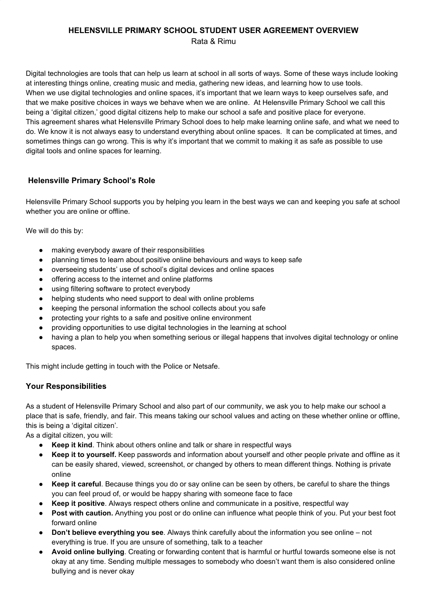#### **HELENSVILLE PRIMARY SCHOOL STUDENT USER AGREEMENT OVERVIEW** Rata & Rimu

Digital technologies are tools that can help us learn at school in all sorts of ways. Some of these ways include looking at interesting things online, creating music and media, gathering new ideas, and learning how to use tools. When we use digital technologies and online spaces, it's important that we learn ways to keep ourselves safe, and that we make positive choices in ways we behave when we are online. At Helensville Primary School we call this being a 'digital citizen,' good digital citizens help to make our school a safe and positive place for everyone. This agreement shares what Helensville Primary School does to help make learning online safe, and what we need to do. We know it is not always easy to understand everything about online spaces. It can be complicated at times, and sometimes things can go wrong. This is why it's important that we commit to making it as safe as possible to use digital tools and online spaces for learning.

# **Helensville Primary School's Role**

Helensville Primary School supports you by helping you learn in the best ways we can and keeping you safe at school whether you are online or offline.

We will do this by:

- making everybody aware of their responsibilities
- planning times to learn about positive online behaviours and ways to keep safe
- overseeing students' use of school's digital devices and online spaces
- offering access to the internet and online platforms
- using filtering software to protect everybody
- helping students who need support to deal with online problems
- keeping the personal information the school collects about you safe
- protecting your rights to a safe and positive online environment
- providing opportunities to use digital technologies in the learning at school
- having a plan to help you when something serious or illegal happens that involves digital technology or online spaces.

This might include getting in touch with the Police or Netsafe.

### **Your Responsibilities**

As a student of Helensville Primary School and also part of our community, we ask you to help make our school a place that is safe, friendly, and fair. This means taking our school values and acting on these whether online or offline, this is being a 'digital citizen'.

As a digital citizen, you will:

- **Keep it kind**. Think about others online and talk or share in respectful ways
- **Keep it to yourself.** Keep passwords and information about yourself and other people private and offline as it can be easily shared, viewed, screenshot, or changed by others to mean different things. Nothing is private online
- **Keep it careful**. Because things you do or say online can be seen by others, be careful to share the things you can feel proud of, or would be happy sharing with someone face to face
- **Keep it positive**. Always respect others online and communicate in a positive, respectful way
- **Post with caution.** Anything you post or do online can influence what people think of you. Put your best foot forward online
- **Don't believe everything you see**. Always think carefully about the information you see online not everything is true. If you are unsure of something, talk to a teacher
- **Avoid online bullying**. Creating or forwarding content that is harmful or hurtful towards someone else is not okay at any time. Sending multiple messages to somebody who doesn't want them is also considered online bullying and is never okay